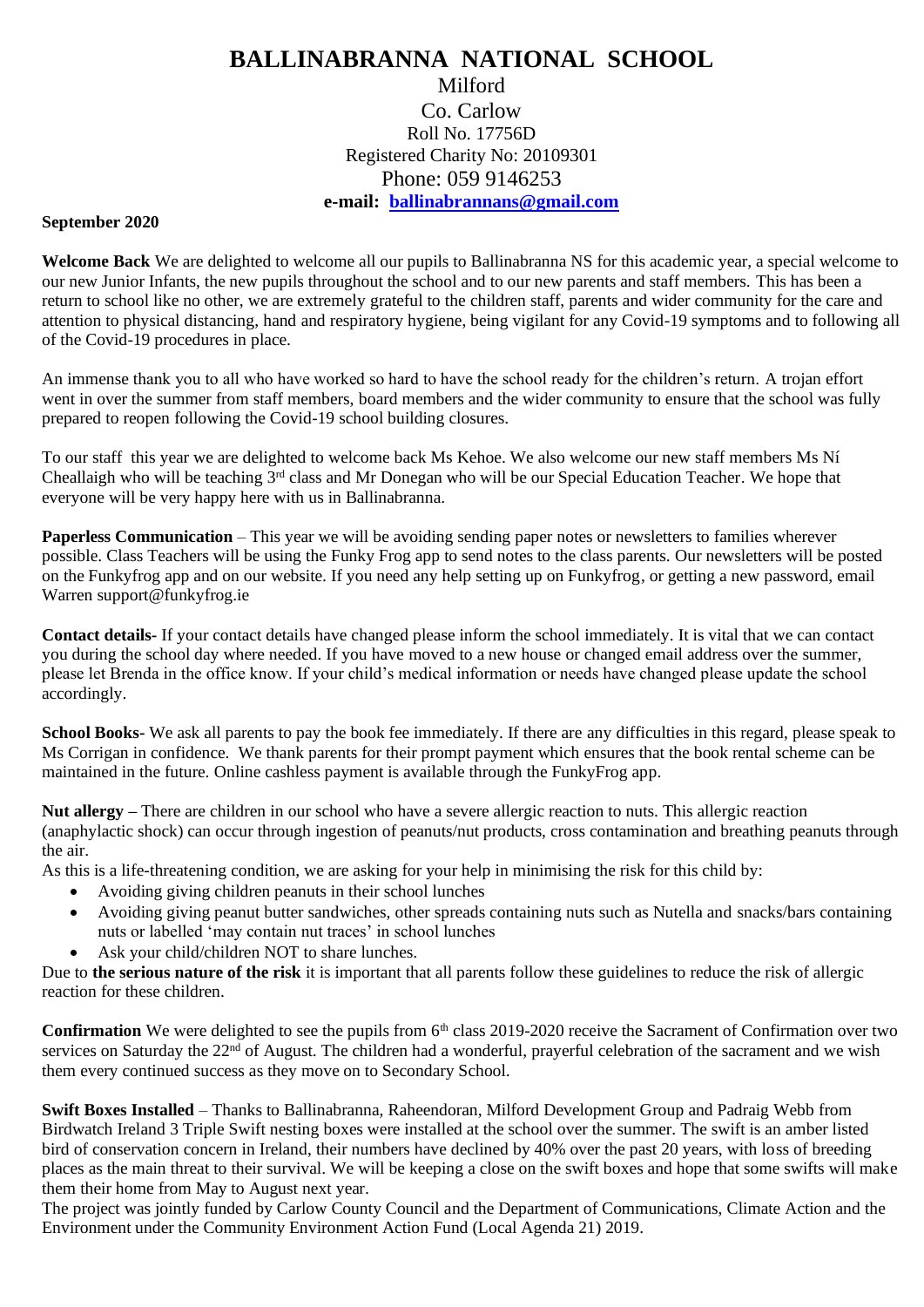## **BALLINABRANNA NATIONAL SCHOOL** Milford Co. Carlow Roll No. 17756D Registered Charity No: 20109301 Phone: 059 9146253

## **e-mail: [ballinabrannans@gmail.com](mailto:ballinabrannans@gmail.com)**

## **September 2020**

**Welcome Back** We are delighted to welcome all our pupils to Ballinabranna NS for this academic year, a special welcome to our new Junior Infants, the new pupils throughout the school and to our new parents and staff members. This has been a return to school like no other, we are extremely grateful to the children staff, parents and wider community for the care and attention to physical distancing, hand and respiratory hygiene, being vigilant for any Covid-19 symptoms and to following all of the Covid-19 procedures in place.

An immense thank you to all who have worked so hard to have the school ready for the children's return. A trojan effort went in over the summer from staff members, board members and the wider community to ensure that the school was fully prepared to reopen following the Covid-19 school building closures.

To our staff this year we are delighted to welcome back Ms Kehoe. We also welcome our new staff members Ms Ní Cheallaigh who will be teaching 3<sup>rd</sup> class and Mr Donegan who will be our Special Education Teacher. We hope that everyone will be very happy here with us in Ballinabranna.

**Paperless Communication** – This year we will be avoiding sending paper notes or newsletters to families wherever possible. Class Teachers will be using the Funky Frog app to send notes to the class parents. Our newsletters will be posted on the Funkyfrog app and on our website. If you need any help setting up on Funkyfrog, or getting a new password, email Warren support@funkyfrog.ie

**Contact details-** If your contact details have changed please inform the school immediately. It is vital that we can contact you during the school day where needed. If you have moved to a new house or changed email address over the summer, please let Brenda in the office know. If your child's medical information or needs have changed please update the school accordingly.

**School Books-** We ask all parents to pay the book fee immediately. If there are any difficulties in this regard, please speak to Ms Corrigan in confidence. We thank parents for their prompt payment which ensures that the book rental scheme can be maintained in the future. Online cashless payment is available through the FunkyFrog app.

**Nut allergy –** There are children in our school who have a severe allergic reaction to nuts. This allergic reaction (anaphylactic shock) can occur through ingestion of peanuts/nut products, cross contamination and breathing peanuts through the air.

As this is a life-threatening condition, we are asking for your help in minimising the risk for this child by:

- Avoiding giving children peanuts in their school lunches
- Avoiding giving peanut butter sandwiches, other spreads containing nuts such as Nutella and snacks/bars containing nuts or labelled 'may contain nut traces' in school lunches
- Ask your child/children NOT to share lunches.

Due to **the serious nature of the risk** it is important that all parents follow these guidelines to reduce the risk of allergic reaction for these children.

**Confirmation** We were delighted to see the pupils from 6<sup>th</sup> class 2019-2020 receive the Sacrament of Confirmation over two services on Saturday the 22<sup>nd</sup> of August. The children had a wonderful, prayerful celebration of the sacrament and we wish them every continued success as they move on to Secondary School.

**Swift Boxes Installed** – Thanks to Ballinabranna, Raheendoran, Milford Development Group and Padraig Webb from Birdwatch Ireland 3 Triple Swift nesting boxes were installed at the school over the summer. The swift is an amber listed bird of conservation concern in Ireland, their numbers have declined by 40% over the past 20 years, with loss of breeding places as the main threat to their survival. We will be keeping a close on the swift boxes and hope that some swifts will make them their home from May to August next year.

The project was jointly funded by Carlow County Council and the Department of Communications, Climate Action and the Environment under the Community Environment Action Fund (Local Agenda 21) 2019.